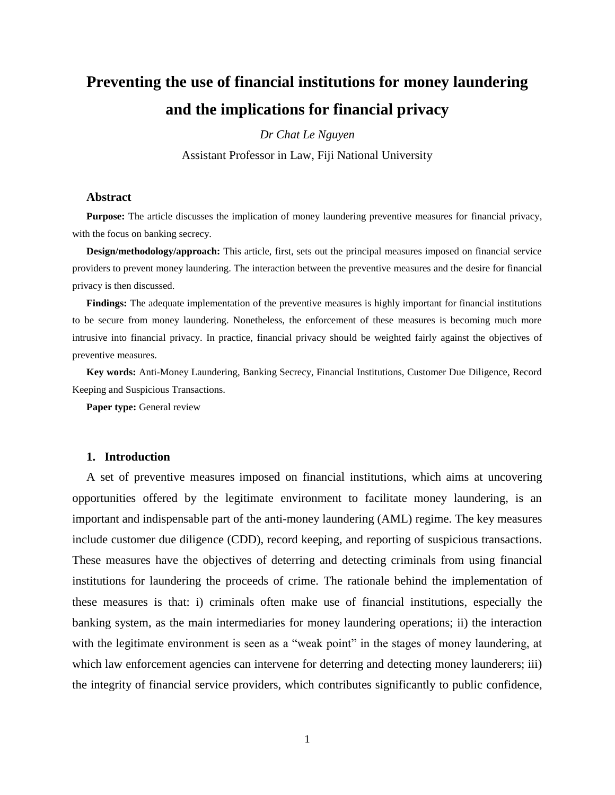# **Preventing the use of financial institutions for money laundering and the implications for financial privacy**

*Dr Chat Le Nguyen*

Assistant Professor in Law, Fiji National University

#### **Abstract**

**Purpose:** The article discusses the implication of money laundering preventive measures for financial privacy, with the focus on banking secrecy.

**Design/methodology/approach:** This article, first, sets out the principal measures imposed on financial service providers to prevent money laundering. The interaction between the preventive measures and the desire for financial privacy is then discussed.

**Findings:** The adequate implementation of the preventive measures is highly important for financial institutions to be secure from money laundering. Nonetheless, the enforcement of these measures is becoming much more intrusive into financial privacy. In practice, financial privacy should be weighted fairly against the objectives of preventive measures.

**Key words:** Anti-Money Laundering, Banking Secrecy, Financial Institutions, Customer Due Diligence, Record Keeping and Suspicious Transactions.

**Paper type:** General review

### **1. Introduction**

A set of preventive measures imposed on financial institutions, which aims at uncovering opportunities offered by the legitimate environment to facilitate money laundering, is an important and indispensable part of the anti-money laundering (AML) regime. The key measures include customer due diligence (CDD), record keeping, and reporting of suspicious transactions. These measures have the objectives of deterring and detecting criminals from using financial institutions for laundering the proceeds of crime. The rationale behind the implementation of these measures is that: i) criminals often make use of financial institutions, especially the banking system, as the main intermediaries for money laundering operations; ii) the interaction with the legitimate environment is seen as a "weak point" in the stages of money laundering, at which law enforcement agencies can intervene for deterring and detecting money launderers; iii) the integrity of financial service providers, which contributes significantly to public confidence,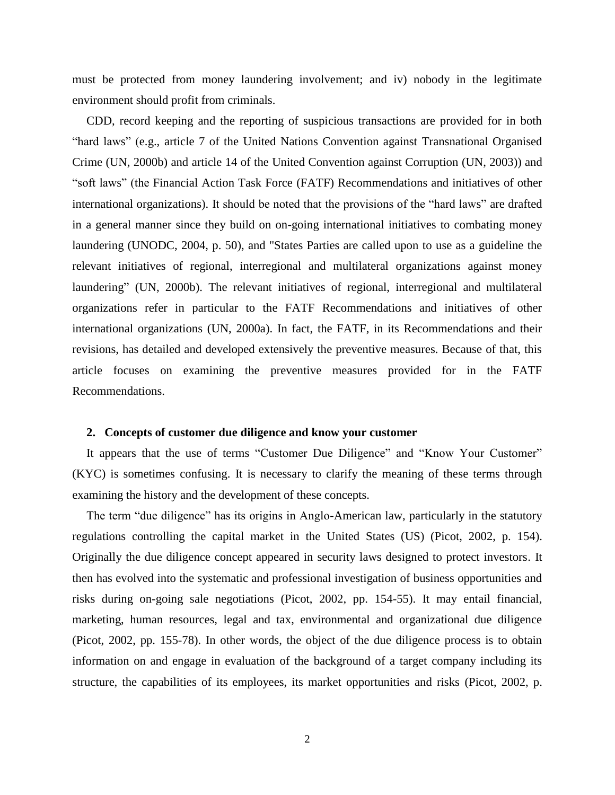must be protected from money laundering involvement; and iv) nobody in the legitimate environment should profit from criminals.

CDD, record keeping and the reporting of suspicious transactions are provided for in both "hard laws" (e.g., article 7 of the United Nations Convention against Transnational Organised Crime [\(UN, 2000b\)](#page-15-0) and article 14 of the United Convention against Corruption [\(UN, 2003\)](#page-15-1)) and "soft laws" (the Financial Action Task Force (FATF) Recommendations and initiatives of other international organizations). It should be noted that the provisions of the "hard laws" are drafted in a general manner since they build on on-going international initiatives to combating money laundering [\(UNODC, 2004, p. 50\)](#page-15-2), and "States Parties are called upon to use as a guideline the relevant initiatives of regional, interregional and multilateral organizations against money laundering" [\(UN, 2000b\)](#page-15-0). The relevant initiatives of regional, interregional and multilateral organizations refer in particular to the FATF Recommendations and initiatives of other international organizations [\(UN, 2000a\)](#page-15-3). In fact, the FATF, in its Recommendations and their revisions, has detailed and developed extensively the preventive measures. Because of that, this article focuses on examining the preventive measures provided for in the FATF Recommendations.

## **2. Concepts of customer due diligence and know your customer**

It appears that the use of terms "Customer Due Diligence" and "Know Your Customer" (KYC) is sometimes confusing. It is necessary to clarify the meaning of these terms through examining the history and the development of these concepts.

The term "due diligence" has its origins in Anglo-American law, particularly in the statutory regulations controlling the capital market in the United States (US) [\(Picot, 2002, p. 154\)](#page-15-4). Originally the due diligence concept appeared in security laws designed to protect investors. It then has evolved into the systematic and professional investigation of business opportunities and risks during on-going sale negotiations [\(Picot, 2002, pp. 154-55\)](#page-15-4). It may entail financial, marketing, human resources, legal and tax, environmental and organizational due diligence [\(Picot, 2002, pp. 155-78\)](#page-15-4). In other words, the object of the due diligence process is to obtain information on and engage in evaluation of the background of a target company including its structure, the capabilities of its employees, its market opportunities and risks [\(Picot, 2002, p.](#page-15-4)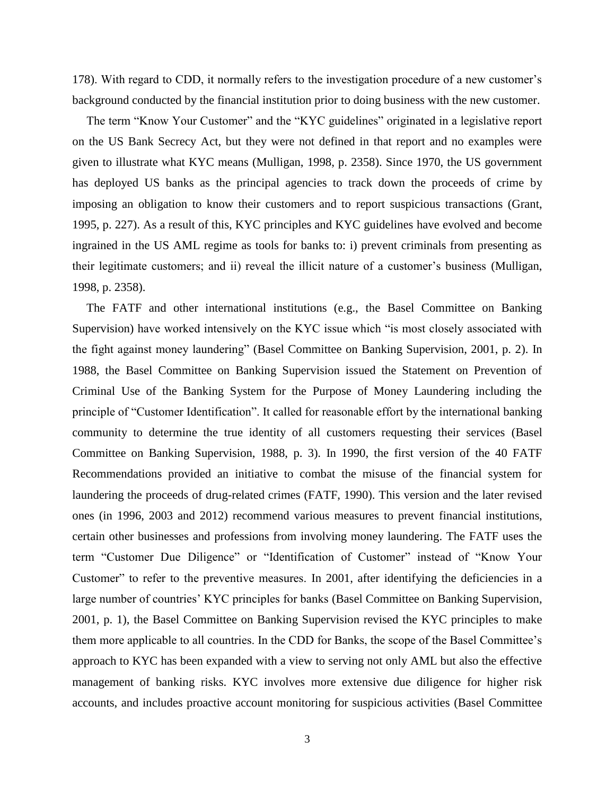[178\)](#page-15-4). With regard to CDD, it normally refers to the investigation procedure of a new customer's background conducted by the financial institution prior to doing business with the new customer.

The term "Know Your Customer" and the "KYC guidelines" originated in a legislative report on the US Bank Secrecy Act, but they were not defined in that report and no examples were given to illustrate what KYC means [\(Mulligan, 1998, p. 2358\)](#page-14-0). Since 1970, the US government has deployed US banks as the principal agencies to track down the proceeds of crime by imposing an obligation to know their customers and to report suspicious transactions [\(Grant,](#page-14-1)  [1995, p. 227\)](#page-14-1). As a result of this, KYC principles and KYC guidelines have evolved and become ingrained in the US AML regime as tools for banks to: i) prevent criminals from presenting as their legitimate customers; and ii) reveal the illicit nature of a customer's business [\(Mulligan,](#page-14-0)  [1998, p. 2358\)](#page-14-0).

The FATF and other international institutions (e.g., the Basel Committee on Banking Supervision) have worked intensively on the KYC issue which "is most closely associated with the fight against money laundering" [\(Basel Committee on Banking Supervision, 2001, p. 2\)](#page-14-2). In 1988, the Basel Committee on Banking Supervision issued the Statement on Prevention of Criminal Use of the Banking System for the Purpose of Money Laundering including the principle of "Customer Identification". It called for reasonable effort by the international banking community to determine the true identity of all customers requesting their services [\(Basel](#page-14-3)  [Committee on Banking Supervision, 1988, p. 3\)](#page-14-3). In 1990, the first version of the 40 FATF Recommendations provided an initiative to combat the misuse of the financial system for laundering the proceeds of drug-related crimes [\(FATF, 1990\)](#page-14-4). This version and the later revised ones (in 1996, 2003 and 2012) recommend various measures to prevent financial institutions, certain other businesses and professions from involving money laundering. The FATF uses the term "Customer Due Diligence" or "Identification of Customer" instead of "Know Your Customer" to refer to the preventive measures. In 2001, after identifying the deficiencies in a large number of countries' KYC principles for banks [\(Basel Committee on Banking Supervision,](#page-14-2)  [2001, p. 1\)](#page-14-2), the Basel Committee on Banking Supervision revised the KYC principles to make them more applicable to all countries. In the CDD for Banks, the scope of the Basel Committee's approach to KYC has been expanded with a view to serving not only AML but also the effective management of banking risks. KYC involves more extensive due diligence for higher risk accounts, and includes proactive account monitoring for suspicious activities [\(Basel Committee](#page-14-2)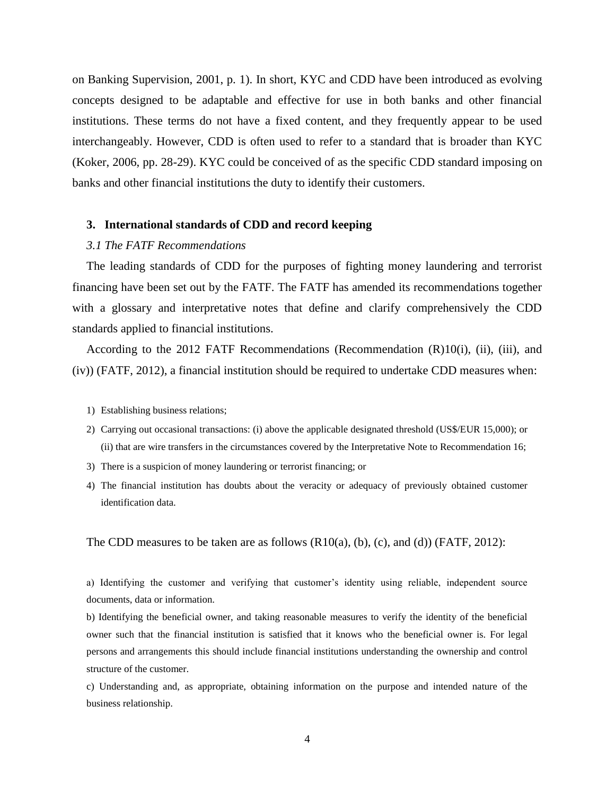[on Banking Supervision, 2001, p. 1\)](#page-14-2). In short, KYC and CDD have been introduced as evolving concepts designed to be adaptable and effective for use in both banks and other financial institutions. These terms do not have a fixed content, and they frequently appear to be used interchangeably. However, CDD is often used to refer to a standard that is broader than KYC [\(Koker, 2006, pp. 28-29\)](#page-14-5). KYC could be conceived of as the specific CDD standard imposing on banks and other financial institutions the duty to identify their customers.

#### **3. International standards of CDD and record keeping**

# *3.1 The FATF Recommendations*

The leading standards of CDD for the purposes of fighting money laundering and terrorist financing have been set out by the FATF. The FATF has amended its recommendations together with a glossary and interpretative notes that define and clarify comprehensively the CDD standards applied to financial institutions.

According to the 2012 FATF Recommendations (Recommendation (R)10(i), (ii), (iii), and (iv)) [\(FATF, 2012\)](#page-14-6), a financial institution should be required to undertake CDD measures when:

- 1) Establishing business relations;
- 2) Carrying out occasional transactions: (i) above the applicable designated threshold (US\$/EUR 15,000); or (ii) that are wire transfers in the circumstances covered by the Interpretative Note to Recommendation 16;
- 3) There is a suspicion of money laundering or terrorist financing; or
- 4) The financial institution has doubts about the veracity or adequacy of previously obtained customer identification data.

The CDD measures to be taken are as follows  $(R10(a), (b), (c),$  and  $(d))$  [\(FATF, 2012\)](#page-14-6):

a) Identifying the customer and verifying that customer's identity using reliable, independent source documents, data or information.

b) Identifying the beneficial owner, and taking reasonable measures to verify the identity of the beneficial owner such that the financial institution is satisfied that it knows who the beneficial owner is. For legal persons and arrangements this should include financial institutions understanding the ownership and control structure of the customer.

c) Understanding and, as appropriate, obtaining information on the purpose and intended nature of the business relationship.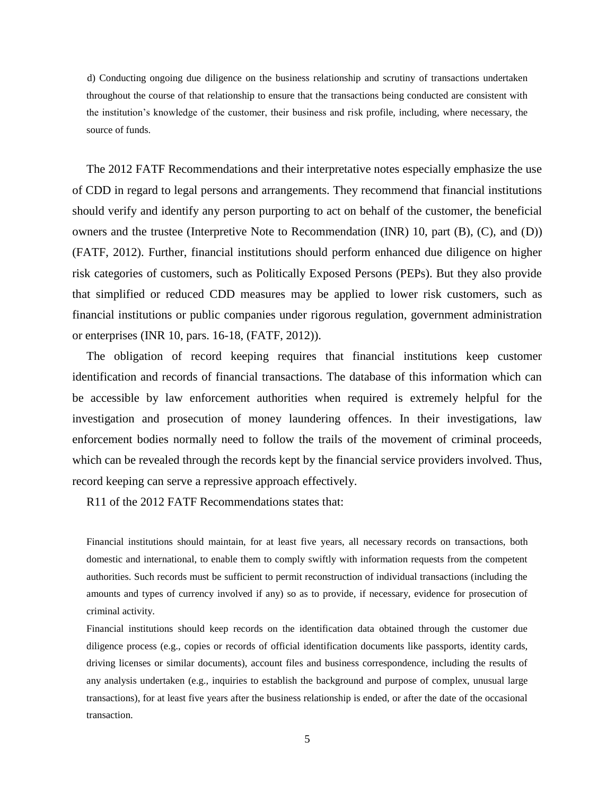d) Conducting ongoing due diligence on the business relationship and scrutiny of transactions undertaken throughout the course of that relationship to ensure that the transactions being conducted are consistent with the institution's knowledge of the customer, their business and risk profile, including, where necessary, the source of funds.

The 2012 FATF Recommendations and their interpretative notes especially emphasize the use of CDD in regard to legal persons and arrangements. They recommend that financial institutions should verify and identify any person purporting to act on behalf of the customer, the beneficial owners and the trustee (Interpretive Note to Recommendation (INR) 10, part (B), (C), and (D)) [\(FATF, 2012\)](#page-14-6). Further, financial institutions should perform enhanced due diligence on higher risk categories of customers, such as Politically Exposed Persons (PEPs). But they also provide that simplified or reduced CDD measures may be applied to lower risk customers, such as financial institutions or public companies under rigorous regulation, government administration or enterprises (INR 10, pars. 16-18, [\(FATF, 2012\)](#page-14-6)).

The obligation of record keeping requires that financial institutions keep customer identification and records of financial transactions. The database of this information which can be accessible by law enforcement authorities when required is extremely helpful for the investigation and prosecution of money laundering offences. In their investigations, law enforcement bodies normally need to follow the trails of the movement of criminal proceeds, which can be revealed through the records kept by the financial service providers involved. Thus, record keeping can serve a repressive approach effectively.

R11 of the 2012 FATF Recommendations states that:

Financial institutions should maintain, for at least five years, all necessary records on transactions, both domestic and international, to enable them to comply swiftly with information requests from the competent authorities. Such records must be sufficient to permit reconstruction of individual transactions (including the amounts and types of currency involved if any) so as to provide, if necessary, evidence for prosecution of criminal activity.

Financial institutions should keep records on the identification data obtained through the customer due diligence process (e.g., copies or records of official identification documents like passports, identity cards, driving licenses or similar documents), account files and business correspondence, including the results of any analysis undertaken (e.g., inquiries to establish the background and purpose of complex, unusual large transactions), for at least five years after the business relationship is ended, or after the date of the occasional transaction.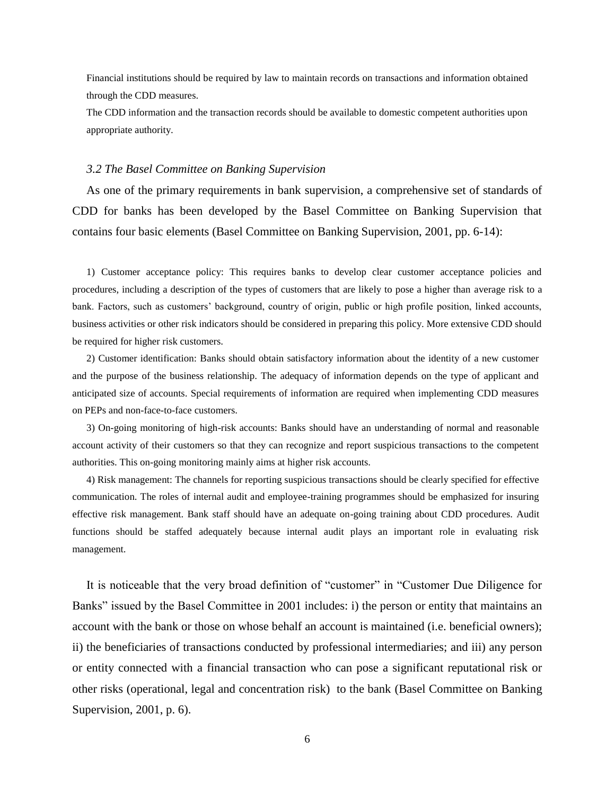Financial institutions should be required by law to maintain records on transactions and information obtained through the CDD measures.

The CDD information and the transaction records should be available to domestic competent authorities upon appropriate authority.

#### *3.2 The Basel Committee on Banking Supervision*

As one of the primary requirements in bank supervision, a comprehensive set of standards of CDD for banks has been developed by the Basel Committee on Banking Supervision that contains four basic elements [\(Basel Committee on Banking Supervision, 2001, pp. 6-14\)](#page-14-2):

1) Customer acceptance policy: This requires banks to develop clear customer acceptance policies and procedures, including a description of the types of customers that are likely to pose a higher than average risk to a bank. Factors, such as customers' background, country of origin, public or high profile position, linked accounts, business activities or other risk indicators should be considered in preparing this policy. More extensive CDD should be required for higher risk customers.

2) Customer identification: Banks should obtain satisfactory information about the identity of a new customer and the purpose of the business relationship. The adequacy of information depends on the type of applicant and anticipated size of accounts. Special requirements of information are required when implementing CDD measures on PEPs and non-face-to-face customers.

3) On-going monitoring of high-risk accounts: Banks should have an understanding of normal and reasonable account activity of their customers so that they can recognize and report suspicious transactions to the competent authorities. This on-going monitoring mainly aims at higher risk accounts.

4) Risk management: The channels for reporting suspicious transactions should be clearly specified for effective communication. The roles of internal audit and employee-training programmes should be emphasized for insuring effective risk management. Bank staff should have an adequate on-going training about CDD procedures. Audit functions should be staffed adequately because internal audit plays an important role in evaluating risk management.

It is noticeable that the very broad definition of "customer" in "Customer Due Diligence for Banks" issued by the Basel Committee in 2001 includes: i) the person or entity that maintains an account with the bank or those on whose behalf an account is maintained (i.e. beneficial owners); ii) the beneficiaries of transactions conducted by professional intermediaries; and iii) any person or entity connected with a financial transaction who can pose a significant reputational risk or other risks (operational, legal and concentration risk) to the bank (Basel [Committee on Banking](#page-14-2)  [Supervision, 2001, p. 6\)](#page-14-2).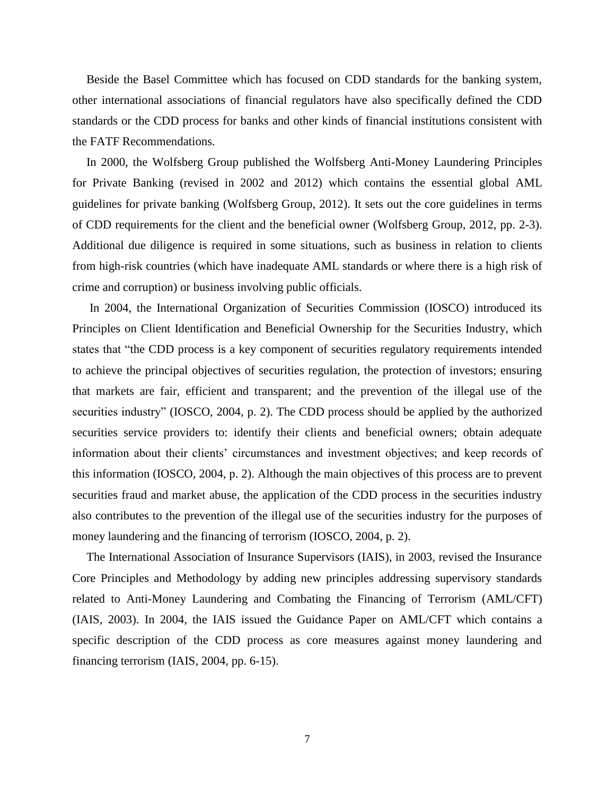Beside the Basel Committee which has focused on CDD standards for the banking system, other international associations of financial regulators have also specifically defined the CDD standards or the CDD process for banks and other kinds of financial institutions consistent with the FATF Recommendations.

In 2000, the Wolfsberg Group published the Wolfsberg Anti-Money Laundering Principles for Private Banking (revised in 2002 and 2012) which contains the essential global AML guidelines for private banking [\(Wolfsberg Group, 2012\)](#page-15-5). It sets out the core guidelines in terms of CDD requirements for the client and the beneficial owner [\(Wolfsberg Group, 2012, pp. 2-3\)](#page-15-5). Additional due diligence is required in some situations, such as business in relation to clients from high-risk countries (which have inadequate AML standards or where there is a high risk of crime and corruption) or business involving public officials.

In 2004, the International Organization of Securities Commission (IOSCO) introduced its Principles on Client Identification and Beneficial Ownership for the Securities Industry, which states that "the CDD process is a key component of securities regulatory requirements intended to achieve the principal objectives of securities regulation, the protection of investors; ensuring that markets are fair, efficient and transparent; and the prevention of the illegal use of the securities industry" [\(IOSCO, 2004, p. 2\)](#page-14-7). The CDD process should be applied by the authorized securities service providers to: identify their clients and beneficial owners; obtain adequate information about their clients' circumstances and investment objectives; and keep records of this information [\(IOSCO, 2004, p. 2\)](#page-14-7). Although the main objectives of this process are to prevent securities fraud and market abuse, the application of the CDD process in the securities industry also contributes to the prevention of the illegal use of the securities industry for the purposes of money laundering and the financing of terrorism [\(IOSCO, 2004, p. 2\)](#page-14-7).

The International Association of Insurance Supervisors (IAIS), in 2003, revised the Insurance Core Principles and Methodology by adding new principles addressing supervisory standards related to Anti-Money Laundering and Combating the Financing of Terrorism (AML/CFT) [\(IAIS, 2003\)](#page-14-8). In 2004, the IAIS issued the Guidance Paper on AML/CFT which contains a specific description of the CDD process as core measures against money laundering and financing terrorism [\(IAIS, 2004, pp. 6-15\)](#page-14-9).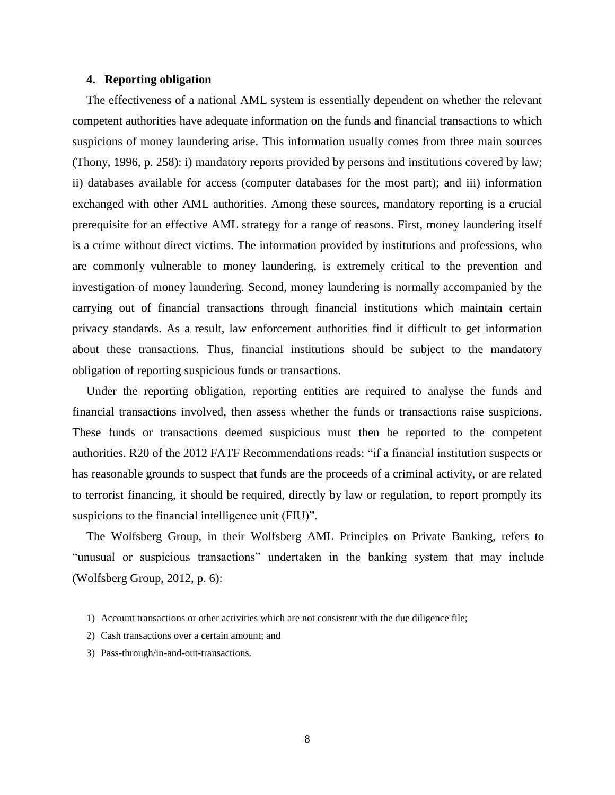# **4. Reporting obligation**

The effectiveness of a national AML system is essentially dependent on whether the relevant competent authorities have adequate information on the funds and financial transactions to which suspicions of money laundering arise. This information usually comes from three main sources [\(Thony, 1996, p. 258\)](#page-15-6): i) mandatory reports provided by persons and institutions covered by law; ii) databases available for access (computer databases for the most part); and iii) information exchanged with other AML authorities. Among these sources, mandatory reporting is a crucial prerequisite for an effective AML strategy for a range of reasons. First, money laundering itself is a crime without direct victims. The information provided by institutions and professions, who are commonly vulnerable to money laundering, is extremely critical to the prevention and investigation of money laundering. Second, money laundering is normally accompanied by the carrying out of financial transactions through financial institutions which maintain certain privacy standards. As a result, law enforcement authorities find it difficult to get information about these transactions. Thus, financial institutions should be subject to the mandatory obligation of reporting suspicious funds or transactions.

Under the reporting obligation, reporting entities are required to analyse the funds and financial transactions involved, then assess whether the funds or transactions raise suspicions. These funds or transactions deemed suspicious must then be reported to the competent authorities. R20 of the 2012 FATF Recommendations reads: "if a financial institution suspects or has reasonable grounds to suspect that funds are the proceeds of a criminal activity, or are related to terrorist financing, it should be required, directly by law or regulation, to report promptly its suspicions to the financial intelligence unit (FIU)".

The Wolfsberg Group, in their Wolfsberg AML Principles on Private Banking, refers to "unusual or suspicious transactions" undertaken in the banking system that may include [\(Wolfsberg Group, 2012, p. 6\)](#page-15-5):

- 2) Cash transactions over a certain amount; and
- 3) Pass-through/in-and-out-transactions.

<sup>1)</sup> Account transactions or other activities which are not consistent with the due diligence file;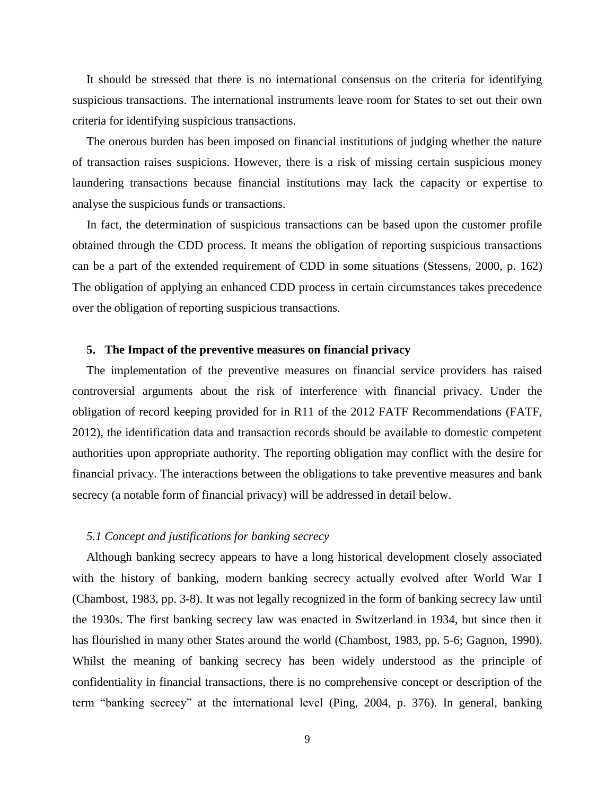It should be stressed that there is no international consensus on the criteria for identifying suspicious transactions. The international instruments leave room for States to set out their own criteria for identifying suspicious transactions.

The onerous burden has been imposed on financial institutions of judging whether the nature of transaction raises suspicions. However, there is a risk of missing certain suspicious money laundering transactions because financial institutions may lack the capacity or expertise to analyse the suspicious funds or transactions.

In fact, the determination of suspicious transactions can be based upon the customer profile obtained through the CDD process. It means the obligation of reporting suspicious transactions can be a part of the extended requirement of CDD in some situations [\(Stessens, 2000, p. 162\)](#page-15-7) The obligation of applying an enhanced CDD process in certain circumstances takes precedence over the obligation of reporting suspicious transactions.

# **5. The Impact of the preventive measures on financial privacy**

The implementation of the preventive measures on financial service providers has raised controversial arguments about the risk of interference with financial privacy. Under the obligation of record keeping provided for in R11 of the 2012 FATF Recommendations [\(FATF,](#page-14-6)  [2012\)](#page-14-6), the identification data and transaction records should be available to domestic competent authorities upon appropriate authority. The reporting obligation may conflict with the desire for financial privacy. The interactions between the obligations to take preventive measures and bank secrecy (a notable form of financial privacy) will be addressed in detail below.

## *5.1 Concept and justifications for banking secrecy*

Although banking secrecy appears to have a long historical development closely associated with the history of banking, modern banking secrecy actually evolved after World War I [\(Chambost, 1983, pp. 3-8\)](#page-14-10). It was not legally recognized in the form of banking secrecy law until the 1930s. The first banking secrecy law was enacted in Switzerland in 1934, but since then it has flourished in many other States around the world [\(Chambost, 1983, pp. 5-6;](#page-14-10) [Gagnon, 1990\)](#page-14-11). Whilst the meaning of banking secrecy has been widely understood as the principle of confidentiality in financial transactions, there is no comprehensive concept or description of the term "banking secrecy" at the international level [\(Ping, 2004, p. 376\)](#page-15-8). In general, banking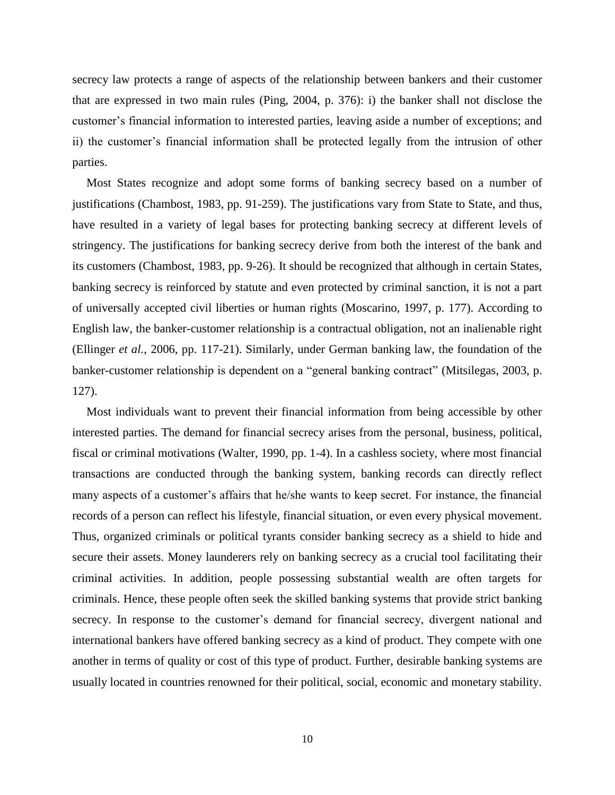secrecy law protects a range of aspects of the relationship between bankers and their customer that are expressed in two main rules [\(Ping, 2004, p. 376\)](#page-15-8): i) the banker shall not disclose the customer's financial information to interested parties, leaving aside a number of exceptions; and ii) the customer's financial information shall be protected legally from the intrusion of other parties.

Most States recognize and adopt some forms of banking secrecy based on a number of justifications [\(Chambost, 1983, pp. 91-259\)](#page-14-10). The justifications vary from State to State, and thus, have resulted in a variety of legal bases for protecting banking secrecy at different levels of stringency. The justifications for banking secrecy derive from both the interest of the bank and its customers [\(Chambost, 1983, pp. 9-26\)](#page-14-10). It should be recognized that although in certain States, banking secrecy is reinforced by statute and even protected by criminal sanction, it is not a part of universally accepted civil liberties or human rights [\(Moscarino, 1997, p. 177\)](#page-14-12). According to English law, the banker-customer relationship is a contractual obligation, not an inalienable right (Ellinger *et al.*[, 2006, pp. 117-21\)](#page-14-13). Similarly, under German banking law, the foundation of the banker-customer relationship is dependent on a "general banking contract" [\(Mitsilegas, 2003, p.](#page-14-14)  [127\)](#page-14-14).

Most individuals want to prevent their financial information from being accessible by other interested parties. The demand for financial secrecy arises from the personal, business, political, fiscal or criminal motivations [\(Walter, 1990, pp. 1-4\)](#page-15-9). In a cashless society, where most financial transactions are conducted through the banking system, banking records can directly reflect many aspects of a customer's affairs that he/she wants to keep secret. For instance, the financial records of a person can reflect his lifestyle, financial situation, or even every physical movement. Thus, organized criminals or political tyrants consider banking secrecy as a shield to hide and secure their assets. Money launderers rely on banking secrecy as a crucial tool facilitating their criminal activities. In addition, people possessing substantial wealth are often targets for criminals. Hence, these people often seek the skilled banking systems that provide strict banking secrecy. In response to the customer's demand for financial secrecy, divergent national and international bankers have offered banking secrecy as a kind of product. They compete with one another in terms of quality or cost of this type of product. Further, desirable banking systems are usually located in countries renowned for their political, social, economic and monetary stability.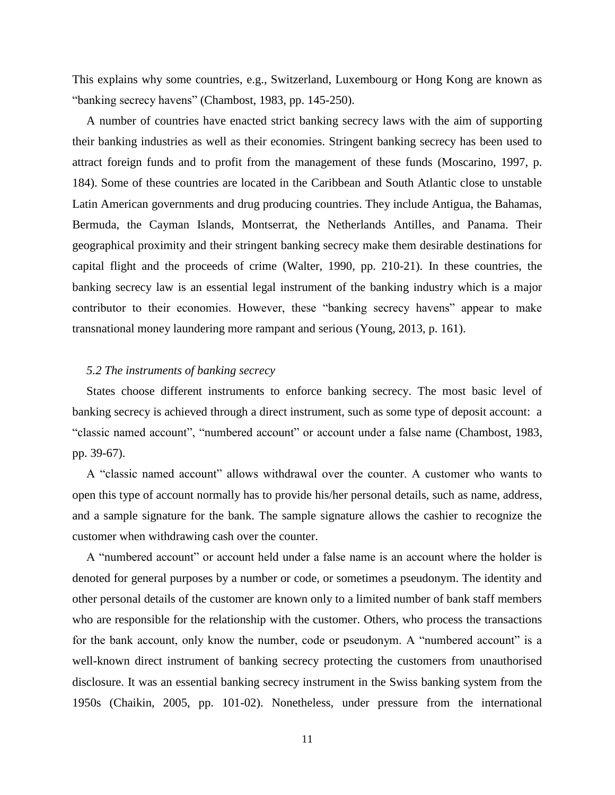This explains why some countries, e.g., Switzerland, Luxembourg or Hong Kong are known as "banking secrecy havens" [\(Chambost, 1983, pp. 145-250\)](#page-14-10).

A number of countries have enacted strict banking secrecy laws with the aim of supporting their banking industries as well as their economies. Stringent banking secrecy has been used to attract foreign funds and to profit from the management of these funds [\(Moscarino, 1997, p.](#page-14-12)  [184\)](#page-14-12). Some of these countries are located in the Caribbean and South Atlantic close to unstable Latin American governments and drug producing countries. They include Antigua, the Bahamas, Bermuda, the Cayman Islands, Montserrat, the Netherlands Antilles, and Panama. Their geographical proximity and their stringent banking secrecy make them desirable destinations for capital flight and the proceeds of crime [\(Walter, 1990, pp. 210-21\)](#page-15-9). In these countries, the banking secrecy law is an essential legal instrument of the banking industry which is a major contributor to their economies. However, these "banking secrecy havens" appear to make transnational money laundering more rampant and serious [\(Young, 2013, p. 161\)](#page-15-10).

# *5.2 The instruments of banking secrecy*

States choose different instruments to enforce banking secrecy. The most basic level of banking secrecy is achieved through a direct instrument, such as some type of deposit account: a "classic named account", "numbered account" or account under a false name [\(Chambost, 1983,](#page-14-10)  [pp. 39-67\)](#page-14-10).

A "classic named account" allows withdrawal over the counter. A customer who wants to open this type of account normally has to provide his/her personal details, such as name, address, and a sample signature for the bank. The sample signature allows the cashier to recognize the customer when withdrawing cash over the counter.

A "numbered account" or account held under a false name is an account where the holder is denoted for general purposes by a number or code, or sometimes a pseudonym. The identity and other personal details of the customer are known only to a limited number of bank staff members who are responsible for the relationship with the customer. Others, who process the transactions for the bank account, only know the number, code or pseudonym. A "numbered account" is a well-known direct instrument of banking secrecy protecting the customers from unauthorised disclosure. It was an essential banking secrecy instrument in the Swiss banking system from the 1950s [\(Chaikin, 2005, pp. 101-02\)](#page-14-15). Nonetheless, under pressure from the international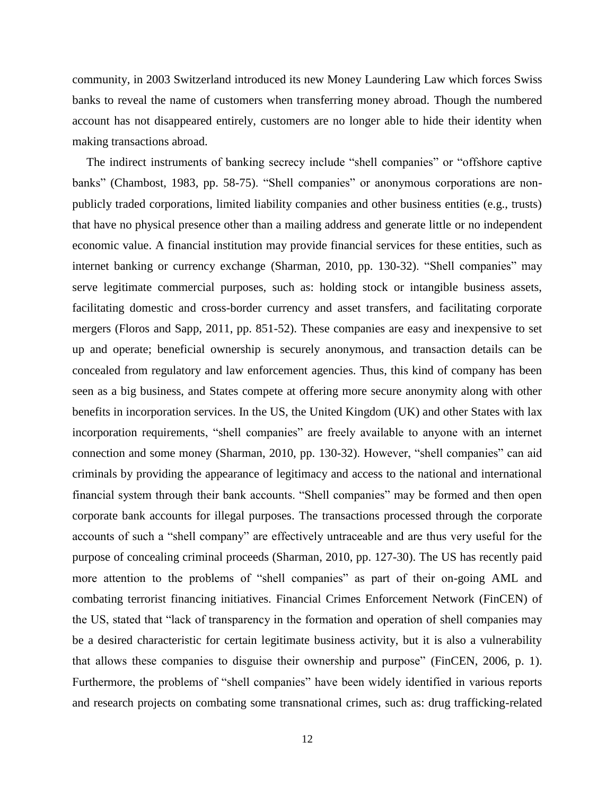community, in 2003 Switzerland introduced its new Money Laundering Law which forces Swiss banks to reveal the name of customers when transferring money abroad. Though the numbered account has not disappeared entirely, customers are no longer able to hide their identity when making transactions abroad.

The indirect instruments of banking secrecy include "shell companies" or "offshore captive banks" [\(Chambost, 1983, pp. 58-75\)](#page-14-10). "Shell companies" or anonymous corporations are nonpublicly traded corporations, limited liability companies and other business entities (e.g., trusts) that have no physical presence other than a mailing address and generate little or no independent economic value. A financial institution may provide financial services for these entities, such as internet banking or currency exchange [\(Sharman, 2010, pp. 130-32\)](#page-15-11). "Shell companies" may serve legitimate commercial purposes, such as: holding stock or intangible business assets, facilitating domestic and cross-border currency and asset transfers, and facilitating corporate mergers [\(Floros and Sapp, 2011, pp. 851-52\)](#page-14-16). These companies are easy and inexpensive to set up and operate; beneficial ownership is securely anonymous, and transaction details can be concealed from regulatory and law enforcement agencies. Thus, this kind of company has been seen as a big business, and States compete at offering more secure anonymity along with other benefits in incorporation services. In the US, the United Kingdom (UK) and other States with lax incorporation requirements, "shell companies" are freely available to anyone with an internet connection and some money [\(Sharman, 2010, pp. 130-32\)](#page-15-11). However, "shell companies" can aid criminals by providing the appearance of legitimacy and access to the national and international financial system through their bank accounts. "Shell companies" may be formed and then open corporate bank accounts for illegal purposes. The transactions processed through the corporate accounts of such a "shell company" are effectively untraceable and are thus very useful for the purpose of concealing criminal proceeds [\(Sharman, 2010, pp. 127-30\)](#page-15-11). The US has recently paid more attention to the problems of "shell companies" as part of their on-going AML and combating terrorist financing initiatives. Financial Crimes Enforcement Network (FinCEN) of the US, stated that "lack of transparency in the formation and operation of shell companies may be a desired characteristic for certain legitimate business activity, but it is also a vulnerability that allows these companies to disguise their ownership and purpose" [\(FinCEN, 2006, p. 1\)](#page-14-17). Furthermore, the problems of "shell companies" have been widely identified in various reports and research projects on combating some transnational crimes, such as: drug trafficking-related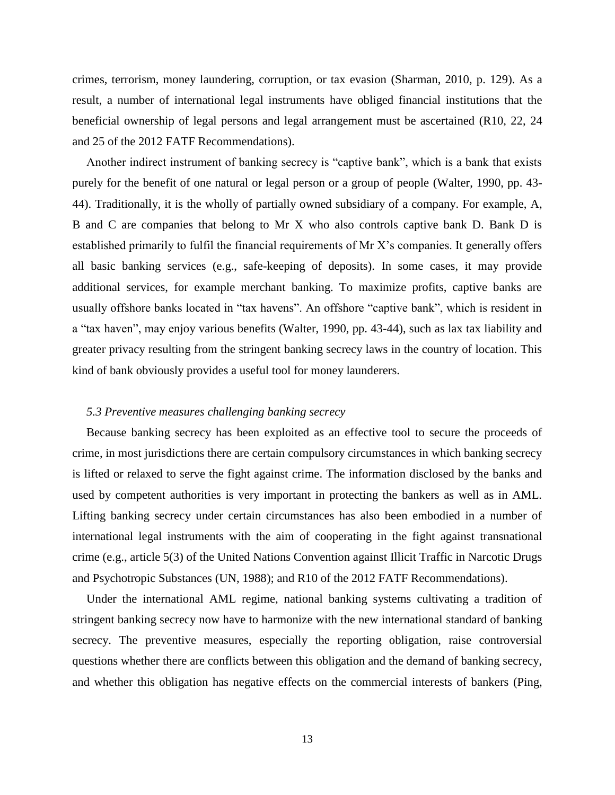crimes, terrorism, money laundering, corruption, or tax evasion [\(Sharman, 2010, p. 129\)](#page-15-11). As a result, a number of international legal instruments have obliged financial institutions that the beneficial ownership of legal persons and legal arrangement must be ascertained (R10, 22, 24 and 25 of the 2012 FATF Recommendations).

Another indirect instrument of banking secrecy is "captive bank", which is a bank that exists purely for the benefit of one natural or legal person or a group of people [\(Walter, 1990, pp. 43-](#page-15-9) [44\)](#page-15-9). Traditionally, it is the wholly of partially owned subsidiary of a company. For example, A, B and C are companies that belong to Mr X who also controls captive bank D. Bank D is established primarily to fulfil the financial requirements of Mr X's companies. It generally offers all basic banking services (e.g., safe-keeping of deposits). In some cases, it may provide additional services, for example merchant banking. To maximize profits, captive banks are usually offshore banks located in "tax havens". An offshore "captive bank", which is resident in a "tax haven", may enjoy various benefits [\(Walter, 1990, pp. 43-44\)](#page-15-9), such as lax tax liability and greater privacy resulting from the stringent banking secrecy laws in the country of location. This kind of bank obviously provides a useful tool for money launderers.

## *5.3 Preventive measures challenging banking secrecy*

Because banking secrecy has been exploited as an effective tool to secure the proceeds of crime, in most jurisdictions there are certain compulsory circumstances in which banking secrecy is lifted or relaxed to serve the fight against crime. The information disclosed by the banks and used by competent authorities is very important in protecting the bankers as well as in AML. Lifting banking secrecy under certain circumstances has also been embodied in a number of international legal instruments with the aim of cooperating in the fight against transnational crime (e.g., article 5(3) of the United Nations Convention against Illicit Traffic in Narcotic Drugs and Psychotropic Substances [\(UN, 1988\)](#page-15-12); and R10 of the 2012 FATF Recommendations).

Under the international AML regime, national banking systems cultivating a tradition of stringent banking secrecy now have to harmonize with the new international standard of banking secrecy. The preventive measures, especially the reporting obligation, raise controversial questions whether there are conflicts between this obligation and the demand of banking secrecy, and whether this obligation has negative effects on the commercial interests of bankers [\(Ping,](#page-15-8)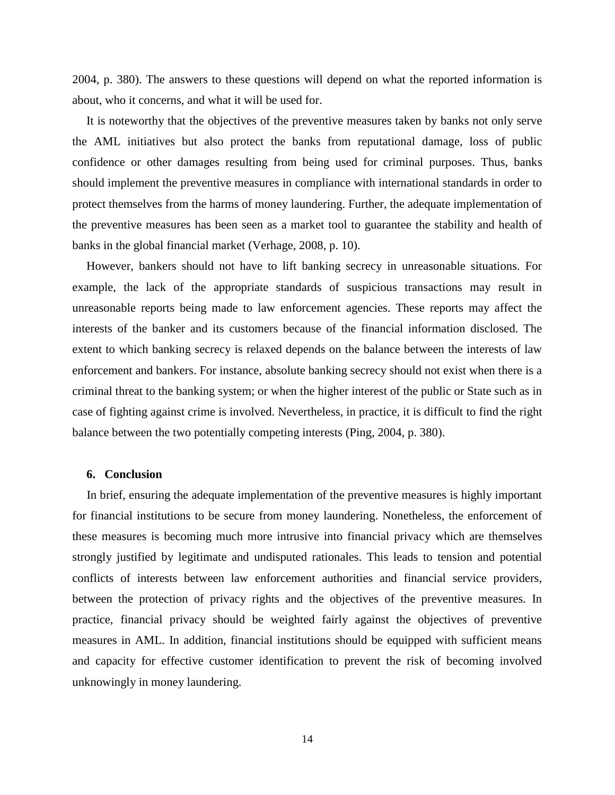[2004, p. 380\)](#page-15-8). The answers to these questions will depend on what the reported information is about, who it concerns, and what it will be used for.

It is noteworthy that the objectives of the preventive measures taken by banks not only serve the AML initiatives but also protect the banks from reputational damage, loss of public confidence or other damages resulting from being used for criminal purposes. Thus, banks should implement the preventive measures in compliance with international standards in order to protect themselves from the harms of money laundering. Further, the adequate implementation of the preventive measures has been seen as a market tool to guarantee the stability and health of banks in the global financial market [\(Verhage, 2008, p. 10\)](#page-15-13).

However, bankers should not have to lift banking secrecy in unreasonable situations. For example, the lack of the appropriate standards of suspicious transactions may result in unreasonable reports being made to law enforcement agencies. These reports may affect the interests of the banker and its customers because of the financial information disclosed. The extent to which banking secrecy is relaxed depends on the balance between the interests of law enforcement and bankers. For instance, absolute banking secrecy should not exist when there is a criminal threat to the banking system; or when the higher interest of the public or State such as in case of fighting against crime is involved. Nevertheless, in practice, it is difficult to find the right balance between the two potentially competing interests [\(Ping, 2004, p. 380\)](#page-15-8).

#### **6. Conclusion**

In brief, ensuring the adequate implementation of the preventive measures is highly important for financial institutions to be secure from money laundering. Nonetheless, the enforcement of these measures is becoming much more intrusive into financial privacy which are themselves strongly justified by legitimate and undisputed rationales. This leads to tension and potential conflicts of interests between law enforcement authorities and financial service providers, between the protection of privacy rights and the objectives of the preventive measures. In practice, financial privacy should be weighted fairly against the objectives of preventive measures in AML. In addition, financial institutions should be equipped with sufficient means and capacity for effective customer identification to prevent the risk of becoming involved unknowingly in money laundering.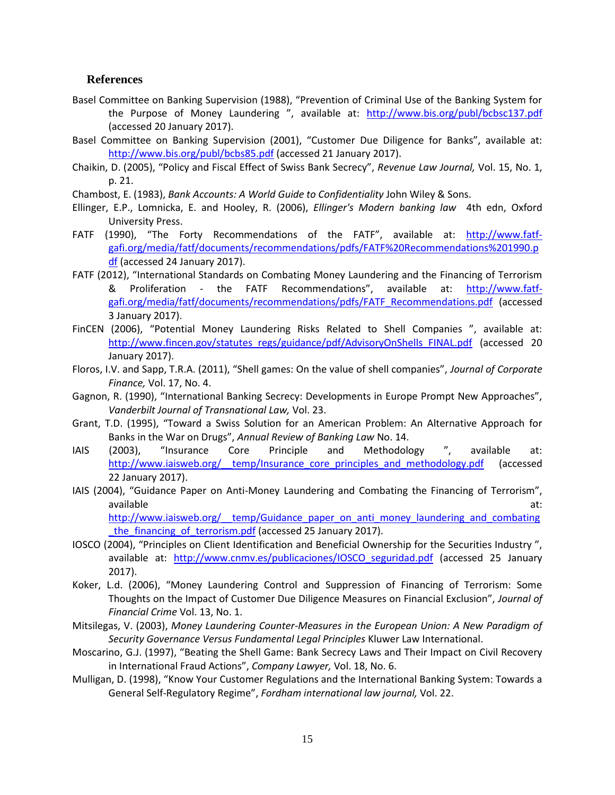## **References**

- <span id="page-14-3"></span>Basel Committee on Banking Supervision (1988), "Prevention of Criminal Use of the Banking System for the Purpose of Money Laundering ", available at: <http://www.bis.org/publ/bcbsc137.pdf> (accessed 20 January 2017).
- <span id="page-14-2"></span>Basel Committee on Banking Supervision (2001), "Customer Due Diligence for Banks", available at: <http://www.bis.org/publ/bcbs85.pdf> (accessed 21 January 2017).
- <span id="page-14-15"></span>Chaikin, D. (2005), "Policy and Fiscal Effect of Swiss Bank Secrecy", *Revenue Law Journal,* Vol. 15, No. 1, p. 21.
- <span id="page-14-10"></span>Chambost, E. (1983), *Bank Accounts: A World Guide to Confidentiality* John Wiley & Sons.
- <span id="page-14-13"></span>Ellinger, E.P., Lomnicka, E. and Hooley, R. (2006), *Ellinger's Modern banking law* 4th edn, Oxford University Press.
- <span id="page-14-4"></span>FATF (1990), "The Forty Recommendations of the FATF", available at: [http://www.fatf](http://www.fatf-gafi.org/media/fatf/documents/recommendations/pdfs/FATF%20Recommendations%201990.pdf)[gafi.org/media/fatf/documents/recommendations/pdfs/FATF%20Recommendations%201990.p](http://www.fatf-gafi.org/media/fatf/documents/recommendations/pdfs/FATF%20Recommendations%201990.pdf) [df](http://www.fatf-gafi.org/media/fatf/documents/recommendations/pdfs/FATF%20Recommendations%201990.pdf) (accessed 24 January 2017).
- <span id="page-14-6"></span>FATF (2012), "International Standards on Combating Money Laundering and the Financing of Terrorism & Proliferation - the FATF Recommendations", available at: [http://www.fatf](http://www.fatf-gafi.org/media/fatf/documents/recommendations/pdfs/FATF_Recommendations.pdf)[gafi.org/media/fatf/documents/recommendations/pdfs/FATF\\_Recommendations.pdf](http://www.fatf-gafi.org/media/fatf/documents/recommendations/pdfs/FATF_Recommendations.pdf) (accessed 3 January 2017).
- <span id="page-14-17"></span>FinCEN (2006), "Potential Money Laundering Risks Related to Shell Companies ", available at: [http://www.fincen.gov/statutes\\_regs/guidance/pdf/AdvisoryOnShells\\_FINAL.pdf](http://www.fincen.gov/statutes_regs/guidance/pdf/AdvisoryOnShells_FINAL.pdf) (accessed 20 January 2017).
- <span id="page-14-16"></span>Floros, I.V. and Sapp, T.R.A. (2011), "Shell games: On the value of shell companies", *Journal of Corporate Finance,* Vol. 17, No. 4.
- <span id="page-14-11"></span>Gagnon, R. (1990), "International Banking Secrecy: Developments in Europe Prompt New Approaches", *Vanderbilt Journal of Transnational Law,* Vol. 23.
- <span id="page-14-1"></span>Grant, T.D. (1995), "Toward a Swiss Solution for an American Problem: An Alternative Approach for Banks in the War on Drugs", *Annual Review of Banking Law* No. 14.
- <span id="page-14-8"></span>IAIS (2003), "Insurance Core Principle and Methodology ", available at: http://www.iaisweb.org/ temp/Insurance core principles and methodology.pdf (accessed 22 January 2017).
- <span id="page-14-9"></span>IAIS (2004), "Guidance Paper on Anti-Money Laundering and Combating the Financing of Terrorism", available at:

http://www.iaisweb.org/ temp/Guidance paper on anti\_money\_laundering\_and\_combating the financing of terrorism.pdf (accessed 25 January 2017).

- <span id="page-14-7"></span>IOSCO (2004), "Principles on Client Identification and Beneficial Ownership for the Securities Industry ", available at: [http://www.cnmv.es/publicaciones/IOSCO\\_seguridad.pdf](http://www.cnmv.es/publicaciones/IOSCO_seguridad.pdf) (accessed 25 January 2017).
- <span id="page-14-5"></span>Koker, L.d. (2006), "Money Laundering Control and Suppression of Financing of Terrorism: Some Thoughts on the Impact of Customer Due Diligence Measures on Financial Exclusion", *Journal of Financial Crime* Vol. 13, No. 1.
- <span id="page-14-14"></span>Mitsilegas, V. (2003), *Money Laundering Counter-Measures in the European Union: A New Paradigm of Security Governance Versus Fundamental Legal Principles* Kluwer Law International.
- <span id="page-14-12"></span>Moscarino, G.J. (1997), "Beating the Shell Game: Bank Secrecy Laws and Their Impact on Civil Recovery in International Fraud Actions", *Company Lawyer,* Vol. 18, No. 6.
- <span id="page-14-0"></span>Mulligan, D. (1998), "Know Your Customer Regulations and the International Banking System: Towards a General Self-Regulatory Regime", *Fordham international law journal,* Vol. 22.